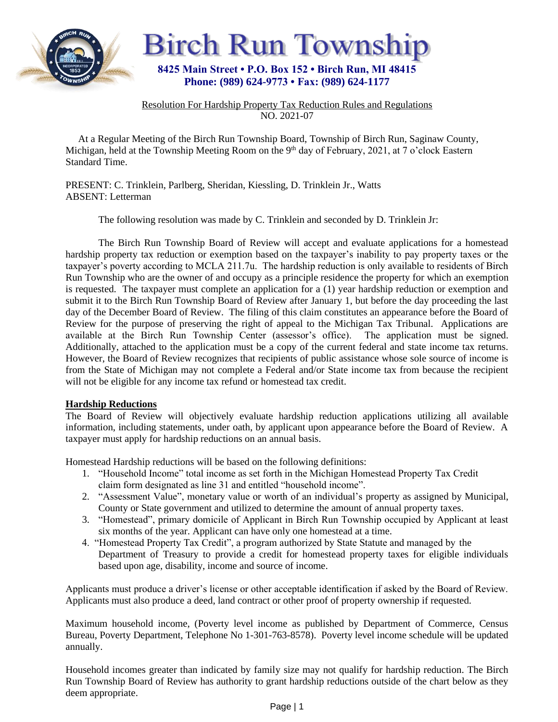



Resolution For Hardship Property Tax Reduction Rules and Regulations NO. 2021-07

 At a Regular Meeting of the Birch Run Township Board, Township of Birch Run, Saginaw County, Michigan, held at the Township Meeting Room on the 9<sup>th</sup> day of February, 2021, at 7 o'clock Eastern Standard Time.

PRESENT: C. Trinklein, Parlberg, Sheridan, Kiessling, D. Trinklein Jr., Watts ABSENT: Letterman

The following resolution was made by C. Trinklein and seconded by D. Trinklein Jr:

The Birch Run Township Board of Review will accept and evaluate applications for a homestead hardship property tax reduction or exemption based on the taxpayer's inability to pay property taxes or the taxpayer's poverty according to MCLA 211.7u. The hardship reduction is only available to residents of Birch Run Township who are the owner of and occupy as a principle residence the property for which an exemption is requested. The taxpayer must complete an application for a (1) year hardship reduction or exemption and submit it to the Birch Run Township Board of Review after January 1, but before the day proceeding the last day of the December Board of Review. The filing of this claim constitutes an appearance before the Board of Review for the purpose of preserving the right of appeal to the Michigan Tax Tribunal. Applications are available at the Birch Run Township Center (assessor's office). The application must be signed. Additionally, attached to the application must be a copy of the current federal and state income tax returns. However, the Board of Review recognizes that recipients of public assistance whose sole source of income is from the State of Michigan may not complete a Federal and/or State income tax from because the recipient will not be eligible for any income tax refund or homestead tax credit.

## **Hardship Reductions**

The Board of Review will objectively evaluate hardship reduction applications utilizing all available information, including statements, under oath, by applicant upon appearance before the Board of Review. A taxpayer must apply for hardship reductions on an annual basis.

Homestead Hardship reductions will be based on the following definitions:

- 1. "Household Income" total income as set forth in the Michigan Homestead Property Tax Credit claim form designated as line 31 and entitled "household income".
- 2. "Assessment Value", monetary value or worth of an individual's property as assigned by Municipal, County or State government and utilized to determine the amount of annual property taxes.
- 3. "Homestead", primary domicile of Applicant in Birch Run Township occupied by Applicant at least six months of the year. Applicant can have only one homestead at a time.
- 4. "Homestead Property Tax Credit", a program authorized by State Statute and managed by the Department of Treasury to provide a credit for homestead property taxes for eligible individuals based upon age, disability, income and source of income.

Applicants must produce a driver's license or other acceptable identification if asked by the Board of Review. Applicants must also produce a deed, land contract or other proof of property ownership if requested.

Maximum household income, (Poverty level income as published by Department of Commerce, Census Bureau, Poverty Department, Telephone No 1-301-763-8578). Poverty level income schedule will be updated annually.

Household incomes greater than indicated by family size may not qualify for hardship reduction. The Birch Run Township Board of Review has authority to grant hardship reductions outside of the chart below as they deem appropriate.